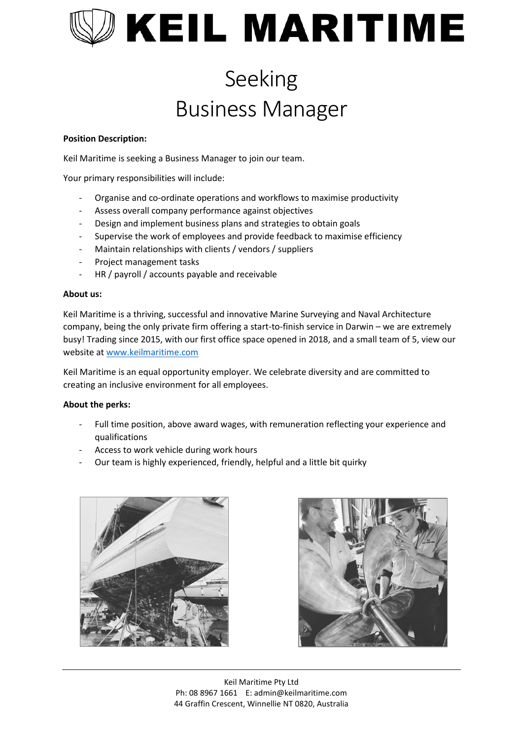# **KEIL MARITIME**

### Seeking Business Manager

#### **Position Description:**

Keil Maritime is seeking a Business Manager to join our team.

Your primary responsibilities will include:

- Organise and co-ordinate operations and workflows to maximise productivity
- Assess overall company performance against objectives
- Design and implement business plans and strategies to obtain goals
- Supervise the work of employees and provide feedback to maximise efficiency
- Maintain relationships with clients / vendors / suppliers
- Project management tasks
- HR / payroll / accounts payable and receivable

#### **About us:**

Keil Maritime is a thriving, successful and innovative Marine Surveying and Naval Architecture company, being the only private firm offering a start-to-finish service in Darwin – we are extremely busy! Trading since 2015, with our first office space opened in 2018, and a small team of 5, view our website at [www.keilmaritime.com](https://keilmaritime.sharepoint.com/sites/Company_Data/Shared%20Documents/KEIL%20MARITIME/Business/LEGENDARY%20STAFF/RECRUITING/www.keilmaritime.com)

Keil Maritime is an equal opportunity employer. We celebrate diversity and are committed to creating an inclusive environment for all employees.

#### **About the perks:**

- Full time position, above award wages, with remuneration reflecting your experience and qualifications
- Access to work vehicle during work hours
- Our team is highly experienced, friendly, helpful and a little bit quirky